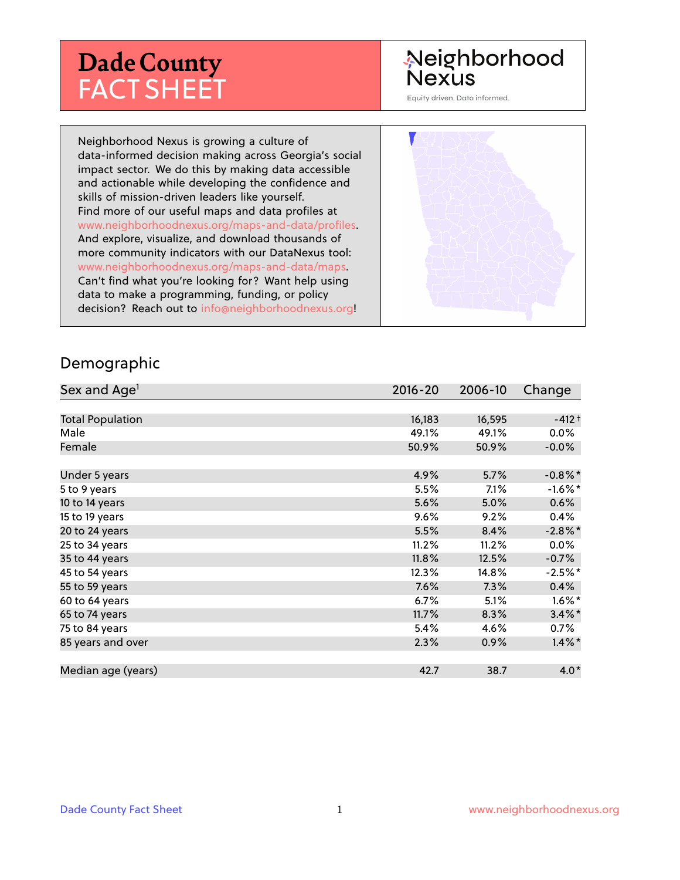# **Dade County** FACT SHEET

# Neighborhood **Nexus**

Equity driven. Data informed.

Neighborhood Nexus is growing a culture of data-informed decision making across Georgia's social impact sector. We do this by making data accessible and actionable while developing the confidence and skills of mission-driven leaders like yourself. Find more of our useful maps and data profiles at www.neighborhoodnexus.org/maps-and-data/profiles. And explore, visualize, and download thousands of more community indicators with our DataNexus tool: www.neighborhoodnexus.org/maps-and-data/maps. Can't find what you're looking for? Want help using data to make a programming, funding, or policy decision? Reach out to [info@neighborhoodnexus.org!](mailto:info@neighborhoodnexus.org)



#### Demographic

| Sex and Age <sup>1</sup> | $2016 - 20$ | 2006-10 | Change     |
|--------------------------|-------------|---------|------------|
|                          |             |         |            |
| <b>Total Population</b>  | 16,183      | 16,595  | $-412+$    |
| Male                     | 49.1%       | 49.1%   | $0.0\%$    |
| Female                   | 50.9%       | 50.9%   | $-0.0\%$   |
|                          |             |         |            |
| Under 5 years            | 4.9%        | 5.7%    | $-0.8\%$ * |
| 5 to 9 years             | 5.5%        | 7.1%    | $-1.6\%$ * |
| 10 to 14 years           | 5.6%        | 5.0%    | $0.6\%$    |
| 15 to 19 years           | 9.6%        | 9.2%    | 0.4%       |
| 20 to 24 years           | 5.5%        | 8.4%    | $-2.8\%$ * |
| 25 to 34 years           | 11.2%       | 11.2%   | 0.0%       |
| 35 to 44 years           | 11.8%       | 12.5%   | $-0.7%$    |
| 45 to 54 years           | 12.3%       | 14.8%   | $-2.5%$ *  |
| 55 to 59 years           | 7.6%        | 7.3%    | 0.4%       |
| 60 to 64 years           | 6.7%        | 5.1%    | $1.6\%$ *  |
| 65 to 74 years           | 11.7%       | 8.3%    | $3.4\%$ *  |
| 75 to 84 years           | 5.4%        | 4.6%    | $0.7\%$    |
| 85 years and over        | 2.3%        | 0.9%    | $1.4\%$ *  |
|                          |             |         |            |
| Median age (years)       | 42.7        | 38.7    | $4.0*$     |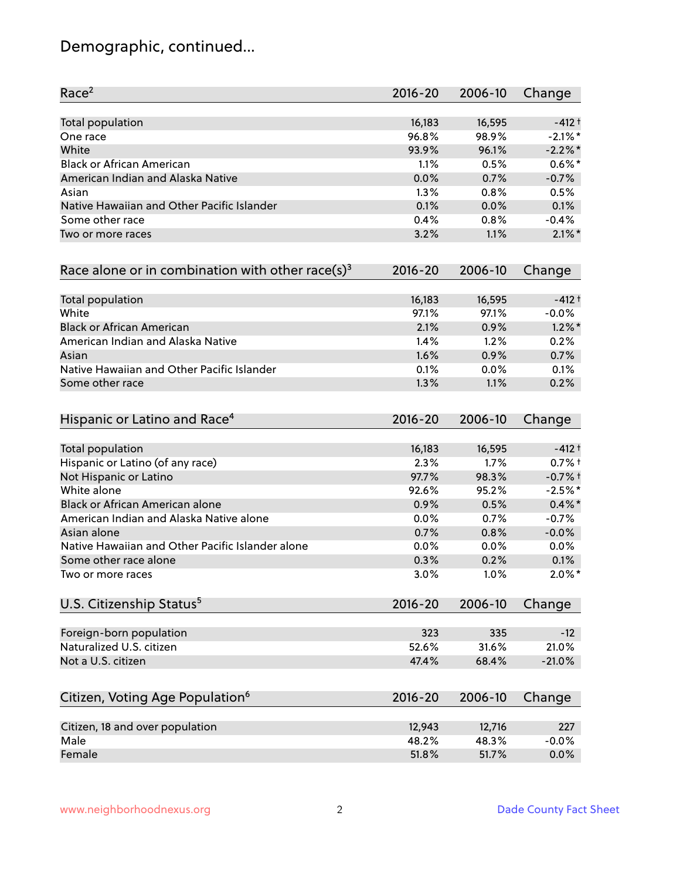# Demographic, continued...

| Race <sup>2</sup>                                            | $2016 - 20$     | 2006-10         | Change     |
|--------------------------------------------------------------|-----------------|-----------------|------------|
| <b>Total population</b>                                      | 16,183          | 16,595          | $-412 +$   |
| One race                                                     | 96.8%           | 98.9%           | $-2.1\%$ * |
| White                                                        | 93.9%           | 96.1%           | $-2.2%$ *  |
| <b>Black or African American</b>                             | 1.1%            | 0.5%            | $0.6\%$ *  |
| American Indian and Alaska Native                            | 0.0%            | 0.7%            | $-0.7%$    |
| Asian                                                        | 1.3%            | 0.8%            | 0.5%       |
| Native Hawaiian and Other Pacific Islander                   | 0.1%            | 0.0%            | 0.1%       |
| Some other race                                              | 0.4%            | 0.8%            | $-0.4%$    |
| Two or more races                                            | 3.2%            | 1.1%            | $2.1\%$ *  |
| Race alone or in combination with other race(s) <sup>3</sup> | $2016 - 20$     | 2006-10         | Change     |
| Total population                                             | 16,183          | 16,595          | $-412 +$   |
| White                                                        | 97.1%           | 97.1%           | $-0.0%$    |
| <b>Black or African American</b>                             | 2.1%            | 0.9%            | $1.2\%$ *  |
| American Indian and Alaska Native                            | 1.4%            | 1.2%            | 0.2%       |
| Asian                                                        | 1.6%            | 0.9%            | 0.7%       |
| Native Hawaiian and Other Pacific Islander                   | 0.1%            | 0.0%            | 0.1%       |
| Some other race                                              | 1.3%            | 1.1%            | 0.2%       |
| Hispanic or Latino and Race <sup>4</sup>                     | $2016 - 20$     | 2006-10         | Change     |
| <b>Total population</b>                                      | 16,183          | 16,595          | $-412 +$   |
| Hispanic or Latino (of any race)                             | 2.3%            | 1.7%            | $0.7%$ +   |
| Not Hispanic or Latino                                       | 97.7%           | 98.3%           | $-0.7%$ †  |
| White alone                                                  | 92.6%           | 95.2%           | $-2.5%$ *  |
| Black or African American alone                              | 0.9%            | 0.5%            | $0.4\%$ *  |
| American Indian and Alaska Native alone                      | 0.0%            | 0.7%            | $-0.7%$    |
| Asian alone                                                  | 0.7%            | 0.8%            | $-0.0%$    |
| Native Hawaiian and Other Pacific Islander alone             | 0.0%            | 0.0%            | $0.0\%$    |
| Some other race alone                                        | 0.3%            | 0.2%            | 0.1%       |
| Two or more races                                            | 3.0%            | 1.0%            | $2.0\%$ *  |
| U.S. Citizenship Status <sup>5</sup>                         | $2016 - 20$     | 2006-10         | Change     |
| Foreign-born population                                      | 323             | 335             | $-12$      |
| Naturalized U.S. citizen                                     | 52.6%           | 31.6%           | 21.0%      |
| Not a U.S. citizen                                           | 47.4%           | 68.4%           | $-21.0%$   |
| Citizen, Voting Age Population <sup>6</sup>                  | $2016 - 20$     | 2006-10         | Change     |
|                                                              |                 |                 | 227        |
| Citizen, 18 and over population<br>Male                      | 12,943<br>48.2% | 12,716<br>48.3% | $-0.0%$    |
| Female                                                       | 51.8%           | 51.7%           | 0.0%       |
|                                                              |                 |                 |            |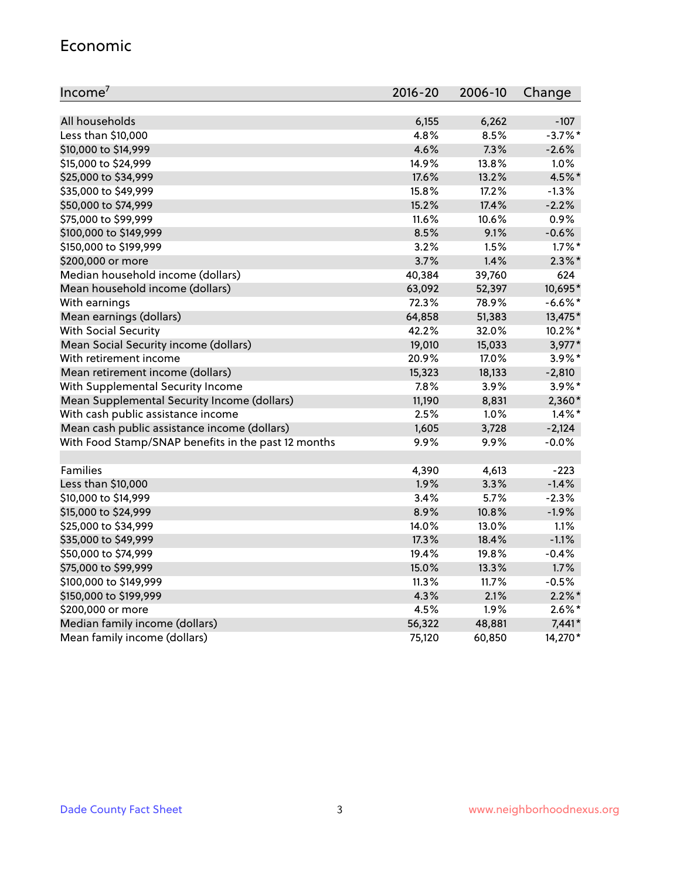#### Economic

| Income <sup>7</sup>                                 | $2016 - 20$ | 2006-10 | Change     |
|-----------------------------------------------------|-------------|---------|------------|
|                                                     |             |         |            |
| All households                                      | 6,155       | 6,262   | $-107$     |
| Less than \$10,000                                  | 4.8%        | 8.5%    | $-3.7\%$ * |
| \$10,000 to \$14,999                                | 4.6%        | 7.3%    | $-2.6%$    |
| \$15,000 to \$24,999                                | 14.9%       | 13.8%   | 1.0%       |
| \$25,000 to \$34,999                                | 17.6%       | 13.2%   | 4.5%*      |
| \$35,000 to \$49,999                                | 15.8%       | 17.2%   | $-1.3%$    |
| \$50,000 to \$74,999                                | 15.2%       | 17.4%   | $-2.2%$    |
| \$75,000 to \$99,999                                | 11.6%       | 10.6%   | 0.9%       |
| \$100,000 to \$149,999                              | 8.5%        | 9.1%    | $-0.6%$    |
| \$150,000 to \$199,999                              | 3.2%        | 1.5%    | $1.7\%$ *  |
| \$200,000 or more                                   | 3.7%        | 1.4%    | $2.3\%$ *  |
| Median household income (dollars)                   | 40,384      | 39,760  | 624        |
| Mean household income (dollars)                     | 63,092      | 52,397  | 10,695*    |
| With earnings                                       | 72.3%       | 78.9%   | $-6.6%$ *  |
| Mean earnings (dollars)                             | 64,858      | 51,383  | 13,475*    |
| <b>With Social Security</b>                         | 42.2%       | 32.0%   | $10.2\%$ * |
| Mean Social Security income (dollars)               | 19,010      | 15,033  | 3,977*     |
| With retirement income                              | 20.9%       | 17.0%   | 3.9%*      |
| Mean retirement income (dollars)                    | 15,323      | 18,133  | $-2,810$   |
| With Supplemental Security Income                   | 7.8%        | 3.9%    | 3.9%*      |
| Mean Supplemental Security Income (dollars)         | 11,190      | 8,831   | $2,360*$   |
| With cash public assistance income                  | 2.5%        | $1.0\%$ | $1.4\%$ *  |
| Mean cash public assistance income (dollars)        | 1,605       | 3,728   | $-2,124$   |
| With Food Stamp/SNAP benefits in the past 12 months | 9.9%        | 9.9%    | $-0.0%$    |
|                                                     |             |         |            |
| Families                                            | 4,390       | 4,613   | $-223$     |
| Less than \$10,000                                  | 1.9%        | 3.3%    | $-1.4%$    |
| \$10,000 to \$14,999                                | 3.4%        | 5.7%    | $-2.3%$    |
| \$15,000 to \$24,999                                | 8.9%        | 10.8%   | $-1.9%$    |
| \$25,000 to \$34,999                                | 14.0%       | 13.0%   | 1.1%       |
| \$35,000 to \$49,999                                | 17.3%       | 18.4%   | $-1.1%$    |
| \$50,000 to \$74,999                                | 19.4%       | 19.8%   | $-0.4%$    |
| \$75,000 to \$99,999                                | 15.0%       | 13.3%   | 1.7%       |
| \$100,000 to \$149,999                              | 11.3%       | 11.7%   | $-0.5%$    |
| \$150,000 to \$199,999                              | 4.3%        | 2.1%    | $2.2\%$ *  |
| \$200,000 or more                                   | 4.5%        | 1.9%    | $2.6\%$ *  |
| Median family income (dollars)                      | 56,322      | 48,881  | $7,441*$   |
| Mean family income (dollars)                        | 75,120      | 60,850  | 14,270*    |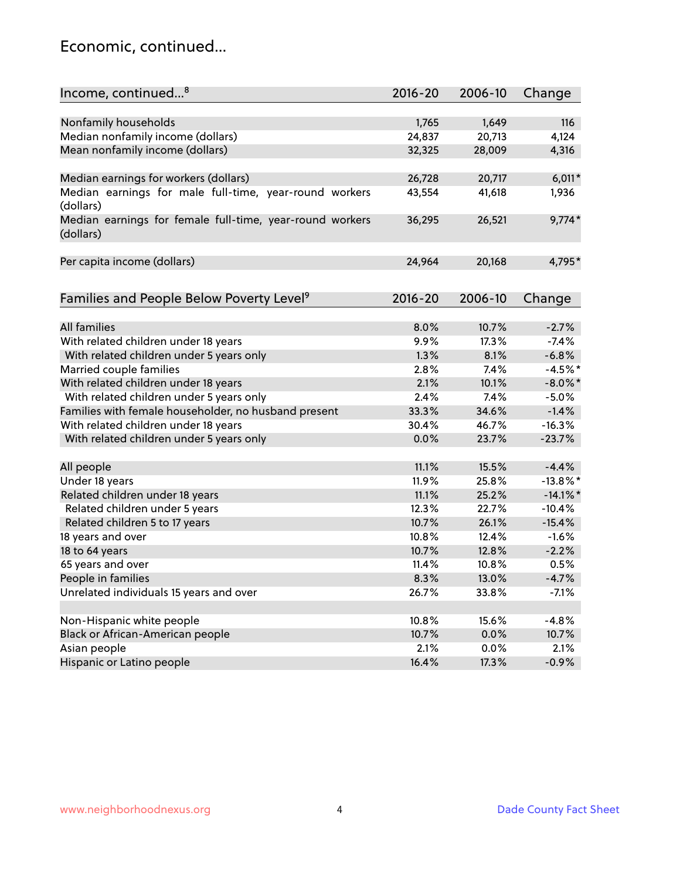#### Economic, continued...

| Income, continued <sup>8</sup>                           | $2016 - 20$ | 2006-10 | Change      |
|----------------------------------------------------------|-------------|---------|-------------|
|                                                          |             |         |             |
| Nonfamily households                                     | 1,765       | 1,649   | 116         |
| Median nonfamily income (dollars)                        | 24,837      | 20,713  | 4,124       |
| Mean nonfamily income (dollars)                          | 32,325      | 28,009  | 4,316       |
|                                                          |             |         |             |
| Median earnings for workers (dollars)                    | 26,728      | 20,717  | $6,011*$    |
| Median earnings for male full-time, year-round workers   | 43,554      | 41,618  | 1,936       |
| (dollars)                                                |             |         |             |
| Median earnings for female full-time, year-round workers | 36,295      | 26,521  | $9,774*$    |
| (dollars)                                                |             |         |             |
|                                                          | 24,964      | 20,168  | 4,795*      |
| Per capita income (dollars)                              |             |         |             |
| Families and People Below Poverty Level <sup>9</sup>     | 2016-20     | 2006-10 |             |
|                                                          |             |         | Change      |
| <b>All families</b>                                      | 8.0%        | 10.7%   | $-2.7%$     |
| With related children under 18 years                     | 9.9%        | 17.3%   | $-7.4%$     |
| With related children under 5 years only                 | 1.3%        | 8.1%    | $-6.8%$     |
| Married couple families                                  | 2.8%        | 7.4%    | $-4.5%$ *   |
| With related children under 18 years                     | 2.1%        | 10.1%   | $-8.0\%$ *  |
| With related children under 5 years only                 | 2.4%        | 7.4%    | $-5.0%$     |
| Families with female householder, no husband present     | 33.3%       | 34.6%   | $-1.4%$     |
| With related children under 18 years                     | 30.4%       | 46.7%   | $-16.3%$    |
|                                                          | 0.0%        | 23.7%   | $-23.7%$    |
| With related children under 5 years only                 |             |         |             |
| All people                                               | 11.1%       | 15.5%   | $-4.4%$     |
| Under 18 years                                           | 11.9%       | 25.8%   | $-13.8\%$ * |
| Related children under 18 years                          | 11.1%       | 25.2%   | $-14.1\%$ * |
| Related children under 5 years                           | 12.3%       | 22.7%   | $-10.4%$    |
| Related children 5 to 17 years                           | 10.7%       | 26.1%   | $-15.4%$    |
| 18 years and over                                        | 10.8%       | 12.4%   | $-1.6%$     |
| 18 to 64 years                                           | 10.7%       | 12.8%   | $-2.2%$     |
| 65 years and over                                        | 11.4%       | 10.8%   | 0.5%        |
| People in families                                       | 8.3%        | 13.0%   | $-4.7%$     |
| Unrelated individuals 15 years and over                  | 26.7%       | 33.8%   | $-7.1%$     |
|                                                          |             |         |             |
| Non-Hispanic white people                                | 10.8%       | 15.6%   | $-4.8%$     |
| Black or African-American people                         | 10.7%       | 0.0%    | 10.7%       |
| Asian people                                             | 2.1%        | 0.0%    | 2.1%        |
| Hispanic or Latino people                                | 16.4%       | 17.3%   | $-0.9%$     |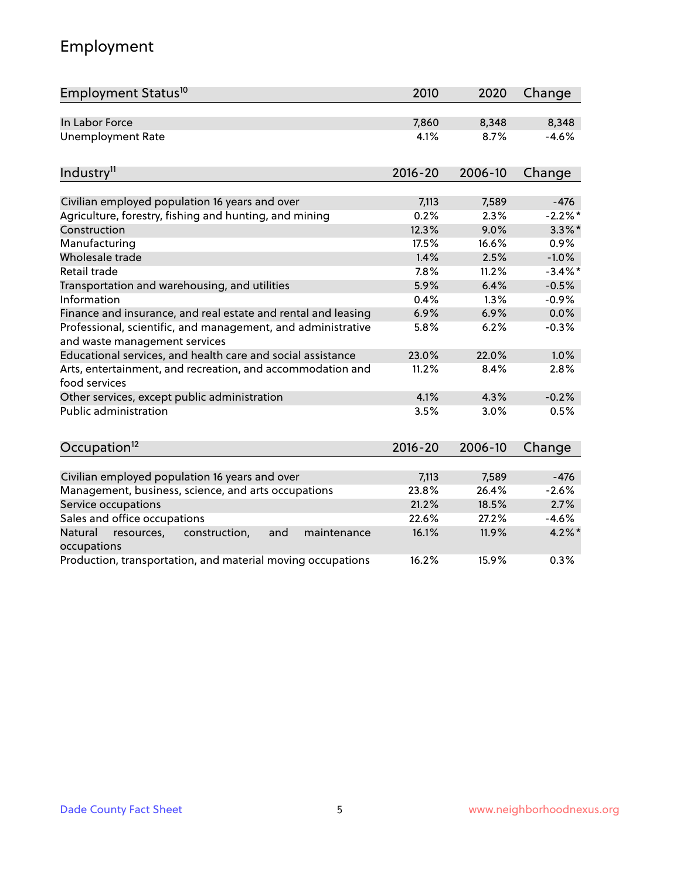# Employment

| Employment Status <sup>10</sup>                                                               | 2010        | 2020    | Change     |
|-----------------------------------------------------------------------------------------------|-------------|---------|------------|
| In Labor Force                                                                                | 7,860       | 8,348   | 8,348      |
| <b>Unemployment Rate</b>                                                                      | 4.1%        | 8.7%    | $-4.6%$    |
| Industry <sup>11</sup>                                                                        | $2016 - 20$ | 2006-10 | Change     |
| Civilian employed population 16 years and over                                                | 7,113       | 7,589   | $-476$     |
| Agriculture, forestry, fishing and hunting, and mining                                        | 0.2%        | 2.3%    | $-2.2%$ *  |
| Construction                                                                                  | 12.3%       | 9.0%    | $3.3\%$ *  |
| Manufacturing                                                                                 | 17.5%       | 16.6%   | 0.9%       |
| Wholesale trade                                                                               | 1.4%        | 2.5%    | $-1.0%$    |
| Retail trade                                                                                  | 7.8%        | 11.2%   | $-3.4\%$ * |
| Transportation and warehousing, and utilities                                                 | 5.9%        | 6.4%    | $-0.5%$    |
| Information                                                                                   | 0.4%        | 1.3%    | $-0.9%$    |
| Finance and insurance, and real estate and rental and leasing                                 | 6.9%        | 6.9%    | 0.0%       |
| Professional, scientific, and management, and administrative<br>and waste management services | 5.8%        | 6.2%    | $-0.3%$    |
| Educational services, and health care and social assistance                                   | 23.0%       | 22.0%   | 1.0%       |
| Arts, entertainment, and recreation, and accommodation and<br>food services                   | 11.2%       | 8.4%    | 2.8%       |
| Other services, except public administration                                                  | 4.1%        | 4.3%    | $-0.2%$    |
| <b>Public administration</b>                                                                  | 3.5%        | 3.0%    | 0.5%       |
| Occupation <sup>12</sup>                                                                      | $2016 - 20$ | 2006-10 | Change     |
|                                                                                               |             |         |            |
| Civilian employed population 16 years and over                                                | 7,113       | 7,589   | $-476$     |
| Management, business, science, and arts occupations                                           | 23.8%       | 26.4%   | $-2.6%$    |
| Service occupations                                                                           | 21.2%       | 18.5%   | 2.7%       |
| Sales and office occupations                                                                  | 22.6%       | 27.2%   | $-4.6%$    |
| Natural<br>construction,<br>and<br>maintenance<br>resources,<br>occupations                   | 16.1%       | 11.9%   | $4.2\%$ *  |
| Production, transportation, and material moving occupations                                   | 16.2%       | 15.9%   | 0.3%       |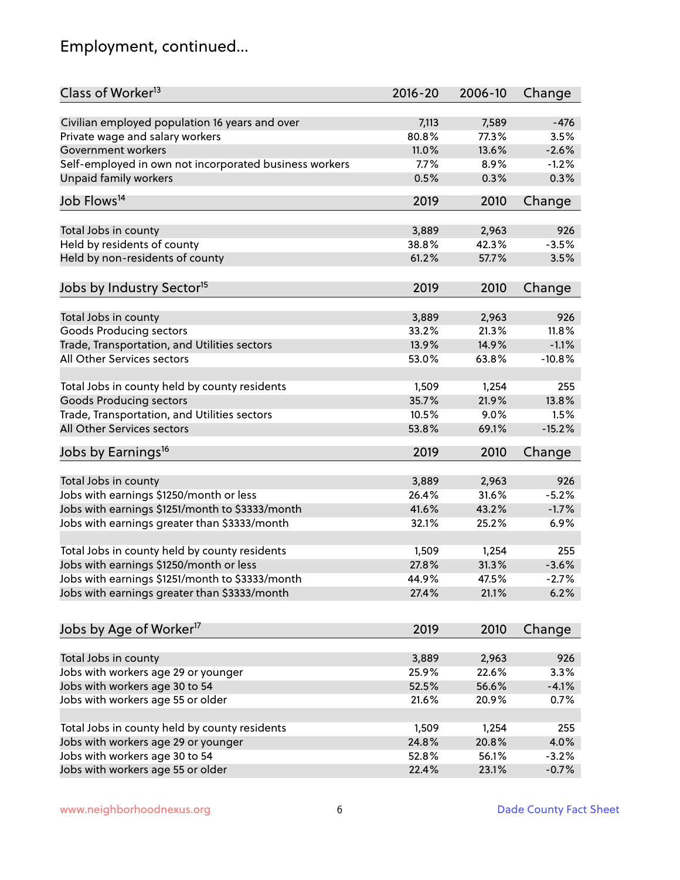# Employment, continued...

| Class of Worker <sup>13</sup>                          | $2016 - 20$ | 2006-10 | Change   |
|--------------------------------------------------------|-------------|---------|----------|
| Civilian employed population 16 years and over         | 7,113       | 7,589   | $-476$   |
| Private wage and salary workers                        | 80.8%       | 77.3%   | 3.5%     |
| Government workers                                     | 11.0%       | 13.6%   | $-2.6%$  |
| Self-employed in own not incorporated business workers | 7.7%        | 8.9%    | $-1.2%$  |
| Unpaid family workers                                  | 0.5%        | 0.3%    | 0.3%     |
|                                                        |             |         |          |
| Job Flows <sup>14</sup>                                | 2019        | 2010    | Change   |
| Total Jobs in county                                   | 3,889       | 2,963   | 926      |
| Held by residents of county                            | 38.8%       | 42.3%   | $-3.5%$  |
|                                                        | 61.2%       | 57.7%   | 3.5%     |
| Held by non-residents of county                        |             |         |          |
| Jobs by Industry Sector <sup>15</sup>                  | 2019        | 2010    | Change   |
|                                                        | 3,889       | 2,963   | 926      |
| Total Jobs in county<br>Goods Producing sectors        | 33.2%       | 21.3%   | 11.8%    |
| Trade, Transportation, and Utilities sectors           | 13.9%       | 14.9%   | $-1.1%$  |
| All Other Services sectors                             | 53.0%       | 63.8%   | $-10.8%$ |
|                                                        |             |         |          |
| Total Jobs in county held by county residents          | 1,509       | 1,254   | 255      |
| <b>Goods Producing sectors</b>                         | 35.7%       | 21.9%   | 13.8%    |
| Trade, Transportation, and Utilities sectors           | 10.5%       | 9.0%    | 1.5%     |
| All Other Services sectors                             | 53.8%       | 69.1%   | $-15.2%$ |
| Jobs by Earnings <sup>16</sup>                         | 2019        | 2010    | Change   |
|                                                        |             |         |          |
| Total Jobs in county                                   | 3,889       | 2,963   | 926      |
| Jobs with earnings \$1250/month or less                | 26.4%       | 31.6%   | $-5.2%$  |
| Jobs with earnings \$1251/month to \$3333/month        | 41.6%       | 43.2%   | $-1.7%$  |
| Jobs with earnings greater than \$3333/month           | 32.1%       | 25.2%   | 6.9%     |
| Total Jobs in county held by county residents          | 1,509       | 1,254   | 255      |
| Jobs with earnings \$1250/month or less                | 27.8%       | 31.3%   | $-3.6%$  |
| Jobs with earnings \$1251/month to \$3333/month        | 44.9%       | 47.5%   | -2.7%    |
| Jobs with earnings greater than \$3333/month           | 27.4%       | 21.1%   | 6.2%     |
|                                                        |             |         |          |
| Jobs by Age of Worker <sup>17</sup>                    | 2019        | 2010    | Change   |
|                                                        |             |         |          |
| Total Jobs in county                                   | 3,889       | 2,963   | 926      |
| Jobs with workers age 29 or younger                    | 25.9%       | 22.6%   | 3.3%     |
| Jobs with workers age 30 to 54                         | 52.5%       | 56.6%   | $-4.1%$  |
| Jobs with workers age 55 or older                      | 21.6%       | 20.9%   | 0.7%     |
| Total Jobs in county held by county residents          | 1,509       | 1,254   | 255      |
| Jobs with workers age 29 or younger                    | 24.8%       | 20.8%   | 4.0%     |
| Jobs with workers age 30 to 54                         | 52.8%       | 56.1%   | $-3.2%$  |
| Jobs with workers age 55 or older                      | 22.4%       | 23.1%   | $-0.7%$  |
|                                                        |             |         |          |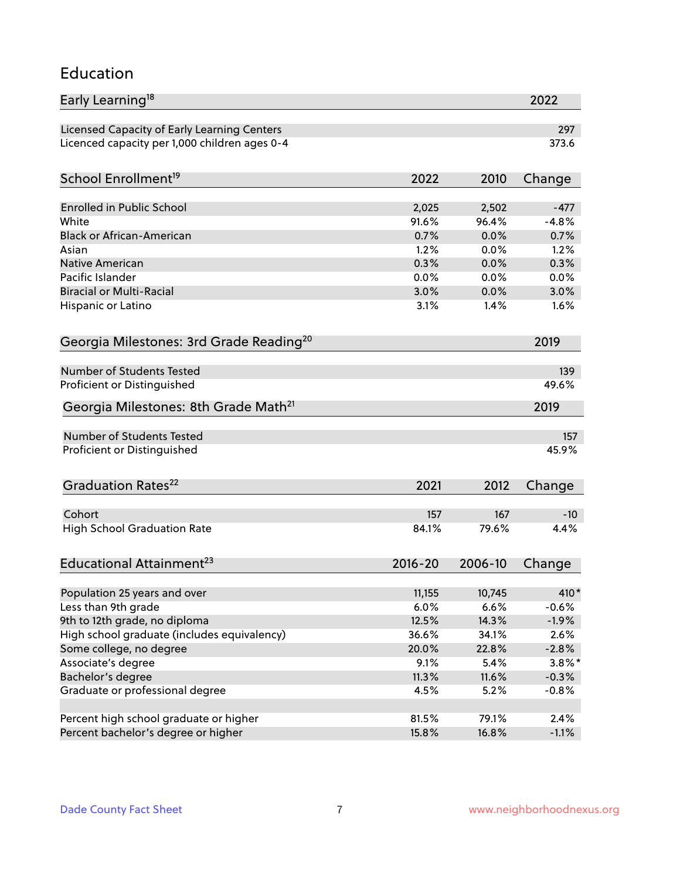#### Education

| Early Learning <sup>18</sup>                        |             |         | 2022      |
|-----------------------------------------------------|-------------|---------|-----------|
| Licensed Capacity of Early Learning Centers         |             |         | 297       |
| Licenced capacity per 1,000 children ages 0-4       |             |         | 373.6     |
| School Enrollment <sup>19</sup>                     | 2022        | 2010    | Change    |
|                                                     |             |         |           |
| <b>Enrolled in Public School</b>                    | 2,025       | 2,502   | $-477$    |
| White                                               | 91.6%       | 96.4%   | $-4.8%$   |
| <b>Black or African-American</b>                    | 0.7%        | 0.0%    | 0.7%      |
| Asian                                               | 1.2%        | 0.0%    | 1.2%      |
| <b>Native American</b>                              | 0.3%        | 0.0%    | 0.3%      |
| Pacific Islander                                    | 0.0%        | 0.0%    | 0.0%      |
| <b>Biracial or Multi-Racial</b>                     | 3.0%        | 0.0%    | 3.0%      |
| Hispanic or Latino                                  | 3.1%        | 1.4%    | 1.6%      |
| Georgia Milestones: 3rd Grade Reading <sup>20</sup> |             |         | 2019      |
| <b>Number of Students Tested</b>                    |             |         | 139       |
|                                                     |             |         |           |
| Proficient or Distinguished                         |             |         | 49.6%     |
| Georgia Milestones: 8th Grade Math <sup>21</sup>    |             |         | 2019      |
| <b>Number of Students Tested</b>                    |             |         | 157       |
| Proficient or Distinguished                         |             |         | 45.9%     |
| Graduation Rates <sup>22</sup>                      | 2021        | 2012    | Change    |
|                                                     |             |         |           |
| Cohort                                              | 157         | 167     | $-10$     |
| <b>High School Graduation Rate</b>                  | 84.1%       | 79.6%   | 4.4%      |
| Educational Attainment <sup>23</sup>                | $2016 - 20$ | 2006-10 | Change    |
| Population 25 years and over                        | 11,155      | 10,745  | 410*      |
| Less than 9th grade                                 | 6.0%        | 6.6%    | $-0.6%$   |
| 9th to 12th grade, no diploma                       | 12.5%       | 14.3%   | $-1.9%$   |
| High school graduate (includes equivalency)         | 36.6%       | 34.1%   | 2.6%      |
| Some college, no degree                             | 20.0%       | 22.8%   | $-2.8%$   |
|                                                     | 9.1%        | 5.4%    |           |
| Associate's degree                                  |             |         | $3.8\%$ * |
| Bachelor's degree                                   | 11.3%       | 11.6%   | $-0.3\%$  |
| Graduate or professional degree                     | 4.5%        | 5.2%    | $-0.8%$   |
| Percent high school graduate or higher              | 81.5%       | 79.1%   | 2.4%      |
| Percent bachelor's degree or higher                 | 15.8%       | 16.8%   | $-1.1%$   |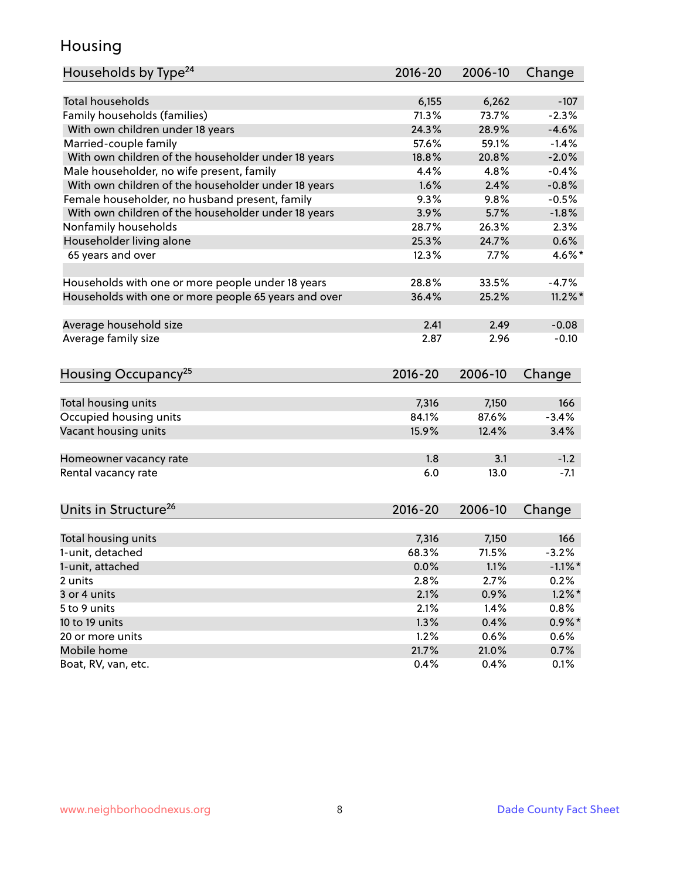#### Housing

| Households by Type <sup>24</sup>                     | 2016-20 | 2006-10 | Change     |
|------------------------------------------------------|---------|---------|------------|
|                                                      |         |         |            |
| Total households                                     | 6,155   | 6,262   | $-107$     |
| Family households (families)                         | 71.3%   | 73.7%   | $-2.3%$    |
| With own children under 18 years                     | 24.3%   | 28.9%   | $-4.6%$    |
| Married-couple family                                | 57.6%   | 59.1%   | $-1.4%$    |
| With own children of the householder under 18 years  | 18.8%   | 20.8%   | $-2.0%$    |
| Male householder, no wife present, family            | 4.4%    | 4.8%    | $-0.4%$    |
| With own children of the householder under 18 years  | 1.6%    | 2.4%    | $-0.8%$    |
| Female householder, no husband present, family       | 9.3%    | 9.8%    | $-0.5%$    |
| With own children of the householder under 18 years  | 3.9%    | 5.7%    | $-1.8%$    |
| Nonfamily households                                 | 28.7%   | 26.3%   | 2.3%       |
| Householder living alone                             | 25.3%   | 24.7%   | 0.6%       |
| 65 years and over                                    | 12.3%   | 7.7%    | 4.6%*      |
| Households with one or more people under 18 years    | 28.8%   | 33.5%   | $-4.7%$    |
| Households with one or more people 65 years and over | 36.4%   | 25.2%   | $11.2\%$ * |
|                                                      |         |         |            |
| Average household size                               | 2.41    | 2.49    | $-0.08$    |
| Average family size                                  | 2.87    | 2.96    | $-0.10$    |
| Housing Occupancy <sup>25</sup>                      | 2016-20 | 2006-10 | Change     |
|                                                      |         |         |            |
| Total housing units                                  | 7,316   | 7,150   | 166        |
| Occupied housing units                               | 84.1%   | 87.6%   | $-3.4%$    |
| Vacant housing units                                 | 15.9%   | 12.4%   | 3.4%       |
|                                                      |         |         |            |
| Homeowner vacancy rate                               | 1.8     | 3.1     | $-1.2$     |
| Rental vacancy rate                                  | 6.0     | 13.0    | $-7.1$     |
|                                                      |         |         |            |
| Units in Structure <sup>26</sup>                     | 2016-20 | 2006-10 | Change     |
|                                                      |         |         |            |
| Total housing units                                  | 7,316   | 7,150   | 166        |
| 1-unit, detached                                     | 68.3%   | 71.5%   | $-3.2%$    |
| 1-unit, attached                                     | 0.0%    | 1.1%    | $-1.1\%$ * |
| 2 units                                              | 2.8%    | 2.7%    | 0.2%       |
| 3 or 4 units                                         | 2.1%    | 0.9%    | $1.2\%$ *  |
| 5 to 9 units                                         | 2.1%    | 1.4%    | 0.8%       |
| 10 to 19 units                                       | 1.3%    | 0.4%    | $0.9\% *$  |
| 20 or more units                                     | 1.2%    | 0.6%    | $0.6\%$    |
| Mobile home                                          | 21.7%   | 21.0%   | 0.7%       |
| Boat, RV, van, etc.                                  | 0.4%    | 0.4%    | 0.1%       |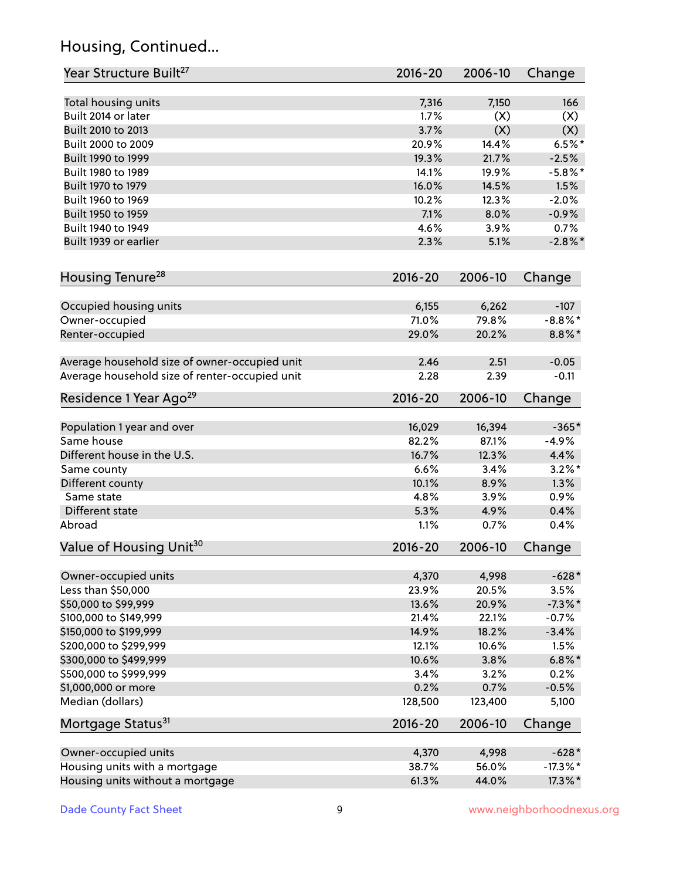# Housing, Continued...

| Year Structure Built <sup>27</sup>             | 2016-20     | 2006-10 | Change      |
|------------------------------------------------|-------------|---------|-------------|
| Total housing units                            | 7,316       | 7,150   | 166         |
| Built 2014 or later                            | 1.7%        | (X)     | (X)         |
| Built 2010 to 2013                             | 3.7%        | (X)     | (X)         |
| Built 2000 to 2009                             | 20.9%       | 14.4%   | $6.5%$ *    |
| Built 1990 to 1999                             | 19.3%       | 21.7%   | $-2.5%$     |
| Built 1980 to 1989                             | 14.1%       | 19.9%   | $-5.8\%$ *  |
| Built 1970 to 1979                             | 16.0%       | 14.5%   | 1.5%        |
| Built 1960 to 1969                             | 10.2%       | 12.3%   | $-2.0%$     |
| Built 1950 to 1959                             | 7.1%        | 8.0%    | $-0.9%$     |
| Built 1940 to 1949                             | 4.6%        | 3.9%    | 0.7%        |
| Built 1939 or earlier                          | 2.3%        | 5.1%    | $-2.8\%$ *  |
| Housing Tenure <sup>28</sup>                   | $2016 - 20$ | 2006-10 | Change      |
|                                                |             |         |             |
| Occupied housing units                         | 6,155       | 6,262   | $-107$      |
| Owner-occupied                                 | 71.0%       | 79.8%   | $-8.8\%$ *  |
| Renter-occupied                                | 29.0%       | 20.2%   | 8.8%*       |
| Average household size of owner-occupied unit  | 2.46        | 2.51    | $-0.05$     |
| Average household size of renter-occupied unit | 2.28        | 2.39    | $-0.11$     |
| Residence 1 Year Ago <sup>29</sup>             | $2016 - 20$ | 2006-10 | Change      |
|                                                | 16,029      | 16,394  | $-365*$     |
| Population 1 year and over<br>Same house       | 82.2%       | 87.1%   | $-4.9%$     |
| Different house in the U.S.                    | 16.7%       | 12.3%   | 4.4%        |
| Same county                                    | 6.6%        | 3.4%    | $3.2\%$ *   |
| Different county                               | 10.1%       | 8.9%    | 1.3%        |
| Same state                                     | 4.8%        | 3.9%    | 0.9%        |
| Different state                                | 5.3%        | 4.9%    | 0.4%        |
| Abroad                                         | 1.1%        | 0.7%    | 0.4%        |
| Value of Housing Unit <sup>30</sup>            | $2016 - 20$ | 2006-10 | Change      |
|                                                |             |         |             |
| Owner-occupied units                           | 4,370       | 4,998   | $-628*$     |
| Less than \$50,000                             | 23.9%       | 20.5%   | 3.5%        |
| \$50,000 to \$99,999                           | 13.6%       | 20.9%   | $-7.3\%$ *  |
| \$100,000 to \$149,999                         | 21.4%       | 22.1%   | $-0.7%$     |
| \$150,000 to \$199,999                         | 14.9%       | 18.2%   | $-3.4%$     |
| \$200,000 to \$299,999                         | 12.1%       | 10.6%   | 1.5%        |
| \$300,000 to \$499,999                         | 10.6%       | 3.8%    | $6.8\%$ *   |
| \$500,000 to \$999,999                         | 3.4%        | 3.2%    | 0.2%        |
| \$1,000,000 or more                            | 0.2%        | 0.7%    | $-0.5%$     |
| Median (dollars)                               | 128,500     | 123,400 | 5,100       |
| Mortgage Status <sup>31</sup>                  | $2016 - 20$ | 2006-10 | Change      |
| Owner-occupied units                           | 4,370       | 4,998   | $-628*$     |
| Housing units with a mortgage                  | 38.7%       | 56.0%   | $-17.3\%$ * |
| Housing units without a mortgage               | 61.3%       | 44.0%   | 17.3%*      |
|                                                |             |         |             |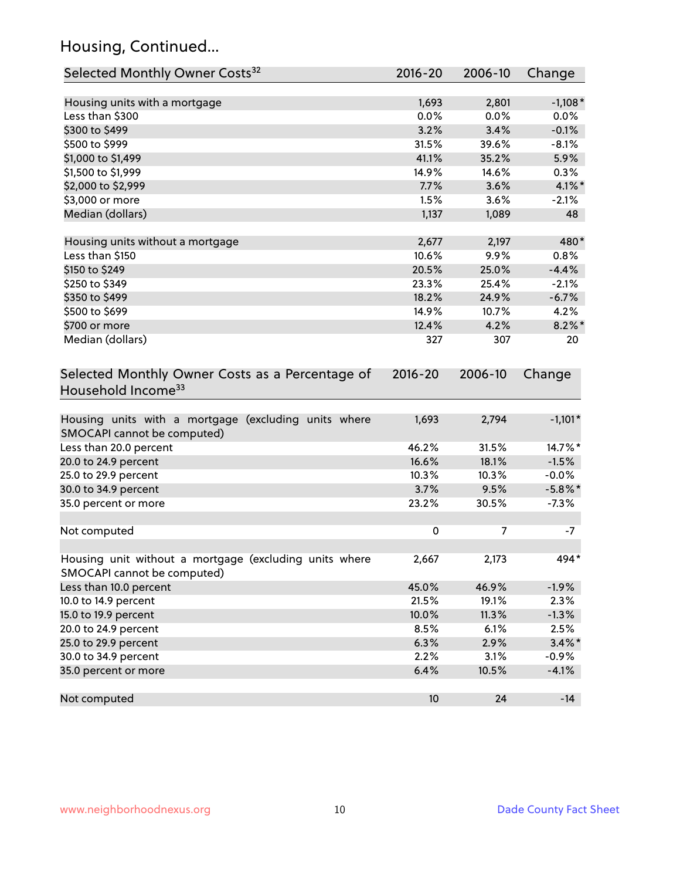# Housing, Continued...

| Selected Monthly Owner Costs <sup>32</sup>                                            | 2016-20     | 2006-10 | Change     |
|---------------------------------------------------------------------------------------|-------------|---------|------------|
| Housing units with a mortgage                                                         | 1,693       | 2,801   | $-1,108*$  |
| Less than \$300                                                                       | 0.0%        | 0.0%    | 0.0%       |
| \$300 to \$499                                                                        | 3.2%        | 3.4%    | $-0.1%$    |
| \$500 to \$999                                                                        | 31.5%       | 39.6%   | $-8.1%$    |
| \$1,000 to \$1,499                                                                    | 41.1%       | 35.2%   | 5.9%       |
| \$1,500 to \$1,999                                                                    | 14.9%       | 14.6%   | 0.3%       |
| \$2,000 to \$2,999                                                                    | 7.7%        | 3.6%    | $4.1\%$ *  |
| \$3,000 or more                                                                       | 1.5%        | 3.6%    | $-2.1%$    |
| Median (dollars)                                                                      | 1,137       | 1,089   | 48         |
| Housing units without a mortgage                                                      | 2,677       | 2,197   | 480*       |
| Less than \$150                                                                       | 10.6%       | 9.9%    | 0.8%       |
| \$150 to \$249                                                                        | 20.5%       | 25.0%   | $-4.4%$    |
| \$250 to \$349                                                                        | 23.3%       | 25.4%   | $-2.1%$    |
| \$350 to \$499                                                                        | 18.2%       | 24.9%   | $-6.7%$    |
| \$500 to \$699                                                                        | 14.9%       | 10.7%   | 4.2%       |
| \$700 or more                                                                         | 12.4%       | 4.2%    | $8.2\%$ *  |
| Median (dollars)                                                                      | 327         | 307     | 20         |
| Selected Monthly Owner Costs as a Percentage of<br>Household Income <sup>33</sup>     | $2016 - 20$ | 2006-10 | Change     |
| Housing units with a mortgage (excluding units where<br>SMOCAPI cannot be computed)   | 1,693       | 2,794   | $-1,101*$  |
| Less than 20.0 percent                                                                | 46.2%       | 31.5%   | 14.7%*     |
| 20.0 to 24.9 percent                                                                  | 16.6%       | 18.1%   | $-1.5%$    |
| 25.0 to 29.9 percent                                                                  | 10.3%       | 10.3%   | $-0.0%$    |
| 30.0 to 34.9 percent                                                                  | 3.7%        | 9.5%    | $-5.8\%$ * |
| 35.0 percent or more                                                                  | 23.2%       | 30.5%   | $-7.3%$    |
| Not computed                                                                          | $\pmb{0}$   | 7       | -7         |
| Housing unit without a mortgage (excluding units where<br>SMOCAPI cannot be computed) | 2,667       | 2,173   | 494*       |
| Less than 10.0 percent                                                                | 45.0%       | 46.9%   | $-1.9%$    |
| 10.0 to 14.9 percent                                                                  | 21.5%       | 19.1%   | 2.3%       |
| 15.0 to 19.9 percent                                                                  | 10.0%       | 11.3%   | $-1.3%$    |
| 20.0 to 24.9 percent                                                                  | 8.5%        | 6.1%    | 2.5%       |
| 25.0 to 29.9 percent                                                                  | 6.3%        | 2.9%    | $3.4\%$ *  |
| 30.0 to 34.9 percent                                                                  | 2.2%        | 3.1%    | $-0.9%$    |
| 35.0 percent or more                                                                  | 6.4%        | 10.5%   | $-4.1%$    |
| Not computed                                                                          | 10          | 24      | $-14$      |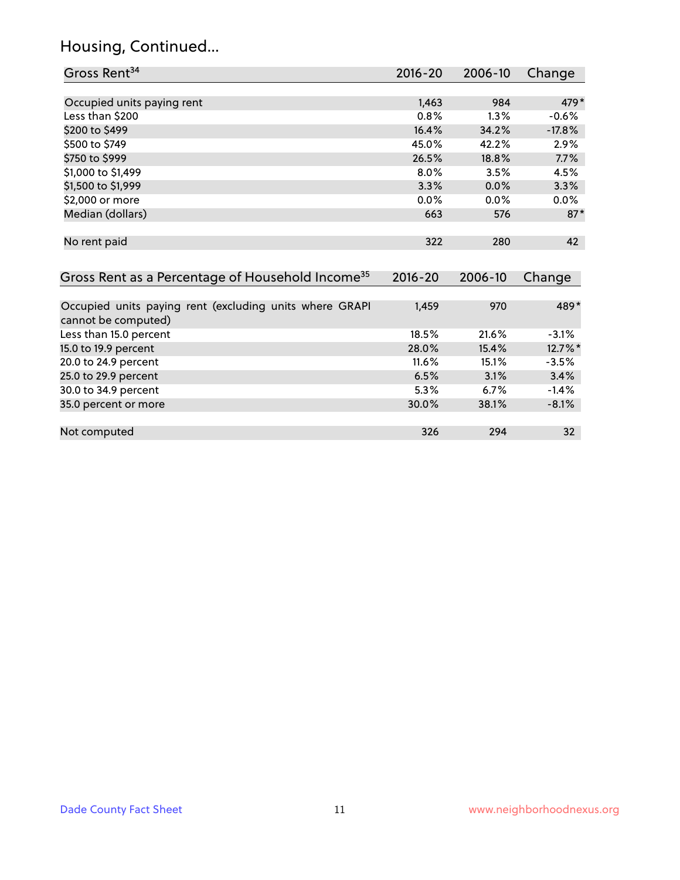# Housing, Continued...

| Gross Rent <sup>34</sup>                                                       | 2016-20     | 2006-10 | Change   |
|--------------------------------------------------------------------------------|-------------|---------|----------|
|                                                                                |             |         |          |
| Occupied units paying rent                                                     | 1,463       | 984     | 479*     |
| Less than \$200                                                                | 0.8%        | 1.3%    | $-0.6%$  |
| \$200 to \$499                                                                 | 16.4%       | 34.2%   | $-17.8%$ |
| \$500 to \$749                                                                 | 45.0%       | 42.2%   | 2.9%     |
| \$750 to \$999                                                                 | 26.5%       | 18.8%   | 7.7%     |
| \$1,000 to \$1,499                                                             | 8.0%        | 3.5%    | 4.5%     |
| \$1,500 to \$1,999                                                             | 3.3%        | 0.0%    | 3.3%     |
| \$2,000 or more                                                                | 0.0%        | 0.0%    | 0.0%     |
| Median (dollars)                                                               | 663         | 576     | $87*$    |
| No rent paid                                                                   | 322         | 280     | 42       |
| Gross Rent as a Percentage of Household Income <sup>35</sup>                   | $2016 - 20$ | 2006-10 | Change   |
| Occupied units paying rent (excluding units where GRAPI<br>cannot be computed) | 1,459       | 970     | 489*     |
| Less than 15.0 percent                                                         | 18.5%       | 21.6%   | $-3.1%$  |
| 15.0 to 19.9 percent                                                           | 28.0%       | 15.4%   | 12.7%*   |
| 20.0 to 24.9 percent                                                           | 11.6%       | 15.1%   | $-3.5%$  |
| 25.0 to 29.9 percent                                                           | 6.5%        | 3.1%    | 3.4%     |
| 30.0 to 34.9 percent                                                           | 5.3%        | 6.7%    | $-1.4%$  |
| 35.0 percent or more                                                           | 30.0%       | 38.1%   | $-8.1%$  |
| Not computed                                                                   | 326         | 294     | 32       |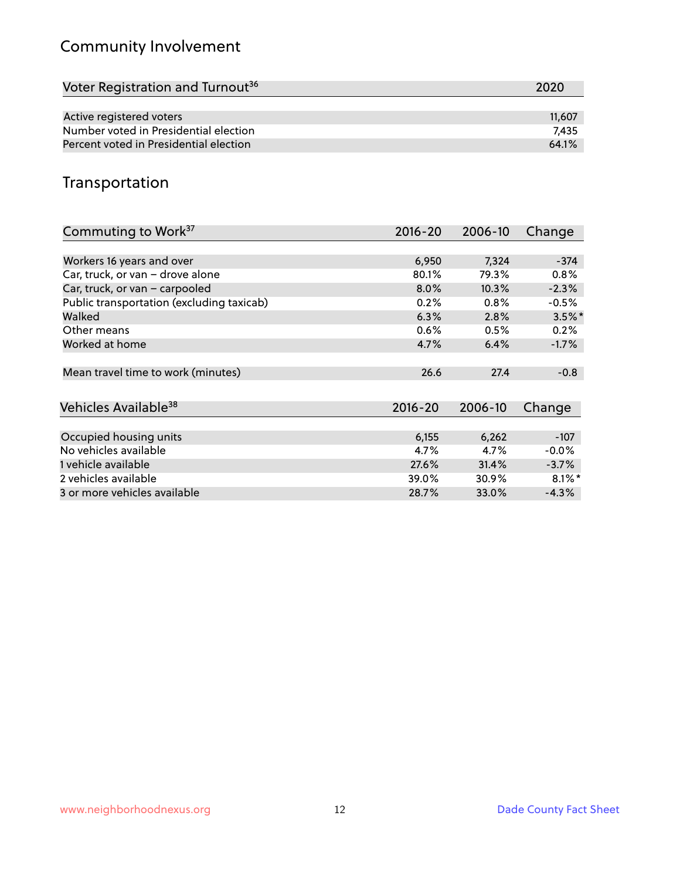# Community Involvement

| Voter Registration and Turnout <sup>36</sup> | 2020   |
|----------------------------------------------|--------|
|                                              |        |
| Active registered voters                     | 11,607 |
| Number voted in Presidential election        | 7.435  |
| Percent voted in Presidential election       | 64.1%  |

#### Transportation

| Commuting to Work <sup>37</sup>           | 2016-20     | 2006-10 | Change               |
|-------------------------------------------|-------------|---------|----------------------|
|                                           |             |         |                      |
| Workers 16 years and over                 | 6,950       | 7,324   | $-374$               |
| Car, truck, or van - drove alone          | 80.1%       | 79.3%   | 0.8%                 |
| Car, truck, or van - carpooled            | $8.0\%$     | 10.3%   | $-2.3%$              |
| Public transportation (excluding taxicab) | 0.2%        | 0.8%    | $-0.5%$              |
| Walked                                    | 6.3%        | 2.8%    | $3.5\%$ *            |
| Other means                               | $0.6\%$     | 0.5%    | 0.2%                 |
| Worked at home                            | 4.7%        | 6.4%    | $-1.7%$              |
|                                           |             |         |                      |
| Mean travel time to work (minutes)        | 26.6        | 27.4    | $-0.8$               |
|                                           |             |         |                      |
| Vehicles Available <sup>38</sup>          | $2016 - 20$ | 2006-10 | Change               |
|                                           |             |         |                      |
| Occupied housing units                    | 6,155       | 6,262   | $-107$               |
| No vehicles available                     | 4.7%        | 4.7%    | $-0.0%$              |
| 1 vehicle available                       | 27.6%       | 31.4%   | $-3.7%$              |
| 2 vehicles available                      | 39.0%       | 30.9%   | $8.1\%$ <sup>*</sup> |
| 3 or more vehicles available              | 28.7%       | 33.0%   | $-4.3%$              |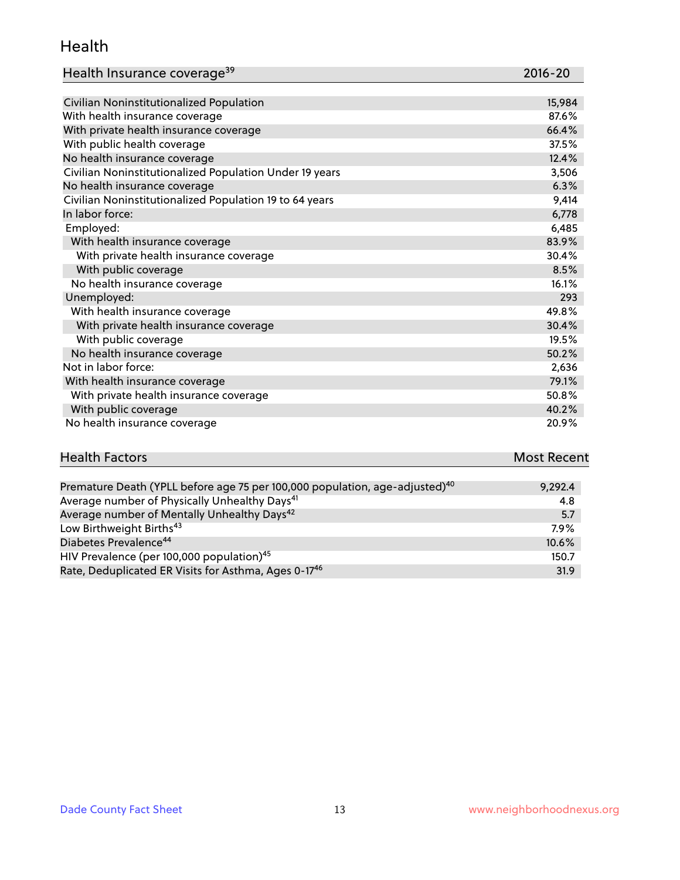#### Health

| Health Insurance coverage <sup>39</sup> | 2016-20 |
|-----------------------------------------|---------|
|-----------------------------------------|---------|

| Civilian Noninstitutionalized Population                | 15,984 |
|---------------------------------------------------------|--------|
| With health insurance coverage                          | 87.6%  |
| With private health insurance coverage                  | 66.4%  |
| With public health coverage                             | 37.5%  |
| No health insurance coverage                            | 12.4%  |
| Civilian Noninstitutionalized Population Under 19 years | 3,506  |
| No health insurance coverage                            | 6.3%   |
| Civilian Noninstitutionalized Population 19 to 64 years | 9,414  |
| In labor force:                                         | 6,778  |
| Employed:                                               | 6,485  |
| With health insurance coverage                          | 83.9%  |
| With private health insurance coverage                  | 30.4%  |
| With public coverage                                    | 8.5%   |
| No health insurance coverage                            | 16.1%  |
| Unemployed:                                             | 293    |
| With health insurance coverage                          | 49.8%  |
| With private health insurance coverage                  | 30.4%  |
| With public coverage                                    | 19.5%  |
| No health insurance coverage                            | 50.2%  |
| Not in labor force:                                     | 2,636  |
| With health insurance coverage                          | 79.1%  |
| With private health insurance coverage                  | 50.8%  |
| With public coverage                                    | 40.2%  |
| No health insurance coverage                            | 20.9%  |

# **Health Factors Most Recent** And The Control of the Control of The Control of The Control of The Control of The Control of The Control of The Control of The Control of The Control of The Control of The Control of The Contr

| Premature Death (YPLL before age 75 per 100,000 population, age-adjusted) <sup>40</sup> | 9,292.4 |
|-----------------------------------------------------------------------------------------|---------|
| Average number of Physically Unhealthy Days <sup>41</sup>                               | 4.8     |
| Average number of Mentally Unhealthy Days <sup>42</sup>                                 | 5.7     |
| Low Birthweight Births <sup>43</sup>                                                    | $7.9\%$ |
| Diabetes Prevalence <sup>44</sup>                                                       | 10.6%   |
| HIV Prevalence (per 100,000 population) <sup>45</sup>                                   | 150.7   |
| Rate, Deduplicated ER Visits for Asthma, Ages 0-17 <sup>46</sup>                        | 31.9    |